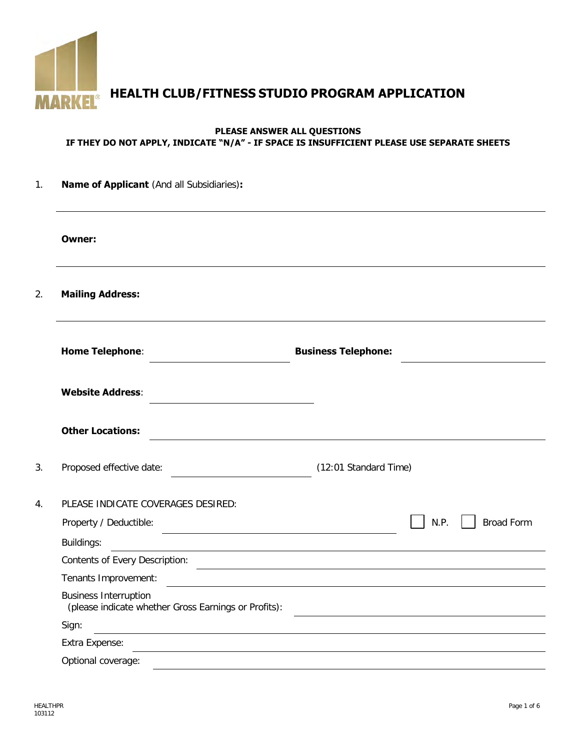

**HEALTH CLUB/FITNESS STUDIO PROGRAM APPLICATION**

## **PLEASE ANSWER ALL QUESTIONS IF THEY DO NOT APPLY, INDICATE "N/A" - IF SPACE IS INSUFFICIENT PLEASE USE SEPARATE SHEETS**

| 1.             | <b>Name of Applicant</b> (And all Subsidiaries):                                                                               |                                                       |                                                                                                                        |  |  |  |  |
|----------------|--------------------------------------------------------------------------------------------------------------------------------|-------------------------------------------------------|------------------------------------------------------------------------------------------------------------------------|--|--|--|--|
|                | Owner:                                                                                                                         |                                                       |                                                                                                                        |  |  |  |  |
| 2.             | <b>Mailing Address:</b>                                                                                                        |                                                       |                                                                                                                        |  |  |  |  |
|                | <b>Home Telephone:</b>                                                                                                         | <b>Business Telephone:</b>                            |                                                                                                                        |  |  |  |  |
|                | <b>Website Address:</b>                                                                                                        |                                                       |                                                                                                                        |  |  |  |  |
|                | <b>Other Locations:</b>                                                                                                        |                                                       |                                                                                                                        |  |  |  |  |
| 3.             | Proposed effective date:                                                                                                       | (12:01 Standard Time)                                 |                                                                                                                        |  |  |  |  |
| $\mathbf{4}$ . | PLEASE INDICATE COVERAGES DESIRED:                                                                                             |                                                       |                                                                                                                        |  |  |  |  |
|                | Property / Deductible:                                                                                                         |                                                       | N.P.<br><b>Broad Form</b>                                                                                              |  |  |  |  |
|                | Buildings:                                                                                                                     |                                                       |                                                                                                                        |  |  |  |  |
|                | Contents of Every Description:                                                                                                 | <u> 1989 - Johann Stoff, fransk politik (d. 1989)</u> |                                                                                                                        |  |  |  |  |
|                | Tenants Improvement:                                                                                                           |                                                       |                                                                                                                        |  |  |  |  |
|                | <b>Business Interruption</b><br>(please indicate whether Gross Earnings or Profits):                                           |                                                       | <u> 1989 - Johann Stoff, deutscher Stoffen und der Stoffen und der Stoffen und der Stoffen und der Stoffen und der</u> |  |  |  |  |
|                | Sign:<br><u> 1980 - Andrea Station Barbara, actor a component de la componentación de la componentación de la componentaci</u> |                                                       |                                                                                                                        |  |  |  |  |
|                | Extra Expense:                                                                                                                 |                                                       |                                                                                                                        |  |  |  |  |
|                | Optional coverage:                                                                                                             |                                                       |                                                                                                                        |  |  |  |  |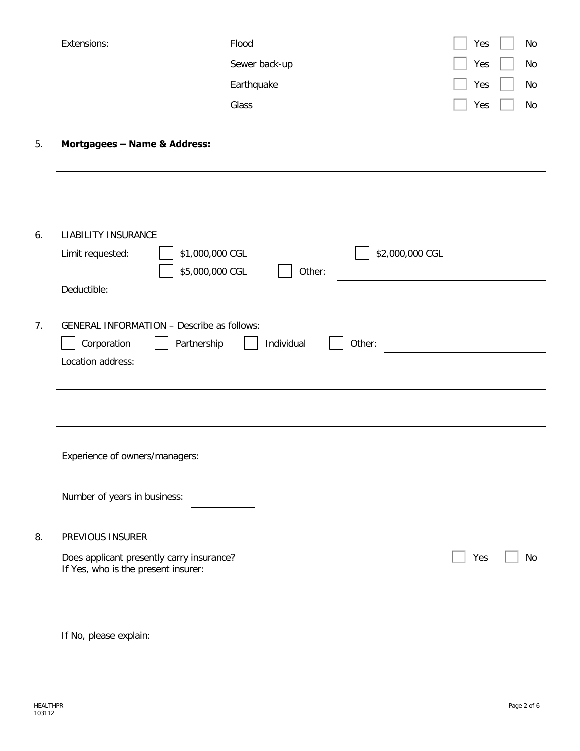| Extensions:                                         | Flood                                             | Yes |    |
|-----------------------------------------------------|---------------------------------------------------|-----|----|
|                                                     | Sewer back-up                                     | Yes | No |
|                                                     | Earthquake                                        | Yes | No |
|                                                     | Glass                                             | Yes | No |
| Mortgagees - Name & Address:                        |                                                   |     |    |
|                                                     |                                                   |     |    |
| <b>LIABILITY INSURANCE</b>                          |                                                   |     |    |
| Limit requested:                                    | \$1,000,000 CGL<br>\$2,000,000 CGL                |     |    |
|                                                     | \$5,000,000 CGL<br>Other:                         |     |    |
| Deductible:                                         |                                                   |     |    |
|                                                     | <b>GENERAL INFORMATION - Describe as follows:</b> |     |    |
| Corporation                                         | Individual<br>Partnership<br>Other:               |     |    |
|                                                     |                                                   |     |    |
| Location address:<br>Experience of owners/managers: |                                                   |     |    |
| Number of years in business:                        |                                                   |     |    |
| PREVIOUS INSURER                                    |                                                   |     |    |

If No, please explain: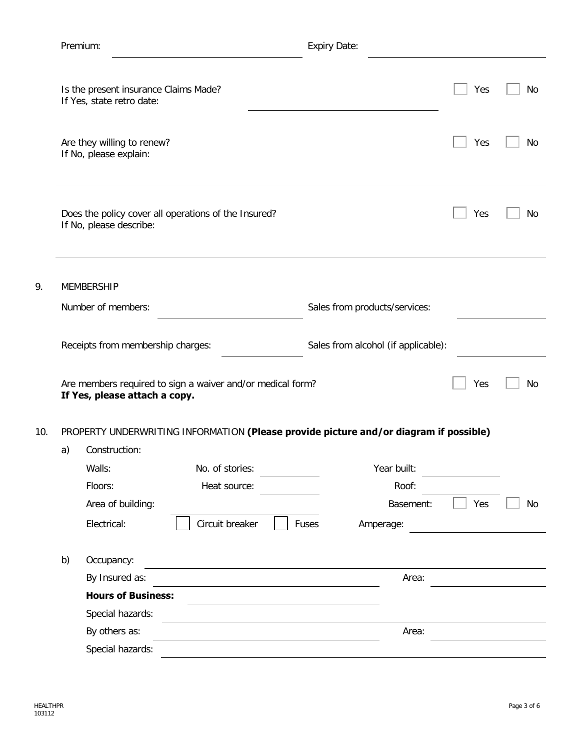|     | Premium: |                                                                                             |                 | <b>Expiry Date:</b> |                                     |                                                                                       |     |    |  |
|-----|----------|---------------------------------------------------------------------------------------------|-----------------|---------------------|-------------------------------------|---------------------------------------------------------------------------------------|-----|----|--|
|     |          | Is the present insurance Claims Made?<br>If Yes, state retro date:                          |                 |                     |                                     |                                                                                       | Yes | No |  |
|     |          | Are they willing to renew?<br>If No, please explain:                                        |                 |                     |                                     |                                                                                       | Yes | No |  |
|     |          | Does the policy cover all operations of the Insured?<br>If No, please describe:             |                 |                     |                                     |                                                                                       | Yes | No |  |
| 9.  |          | <b>MEMBERSHIP</b><br>Number of members:                                                     |                 |                     |                                     | Sales from products/services:                                                         |     |    |  |
|     |          | Receipts from membership charges:                                                           |                 |                     | Sales from alcohol (if applicable): |                                                                                       |     |    |  |
|     |          | Are members required to sign a waiver and/or medical form?<br>If Yes, please attach a copy. |                 |                     |                                     |                                                                                       | Yes | No |  |
| 10. |          |                                                                                             |                 |                     |                                     | PROPERTY UNDERWRITING INFORMATION (Please provide picture and/or diagram if possible) |     |    |  |
|     | a)       | Construction:                                                                               |                 |                     |                                     |                                                                                       |     |    |  |
|     |          | Walls:                                                                                      | No. of stories: |                     |                                     | Year built:                                                                           |     |    |  |
|     |          | Floors:                                                                                     | Heat source:    |                     |                                     | Roof:                                                                                 |     |    |  |
|     |          | Area of building:                                                                           |                 |                     |                                     | Basement:                                                                             | Yes | No |  |
|     |          | Electrical:                                                                                 | Circuit breaker |                     | Fuses                               | Amperage:                                                                             |     |    |  |
|     |          |                                                                                             |                 |                     |                                     |                                                                                       |     |    |  |
|     | b)       | Occupancy:                                                                                  |                 |                     |                                     |                                                                                       |     |    |  |
|     |          | By Insured as:                                                                              |                 |                     |                                     | Area:                                                                                 |     |    |  |
|     |          | <b>Hours of Business:</b>                                                                   |                 |                     |                                     |                                                                                       |     |    |  |
|     |          | Special hazards:                                                                            |                 |                     |                                     |                                                                                       |     |    |  |
|     |          | By others as:                                                                               |                 |                     |                                     | Area:                                                                                 |     |    |  |
|     |          | Special hazards:                                                                            |                 |                     |                                     |                                                                                       |     |    |  |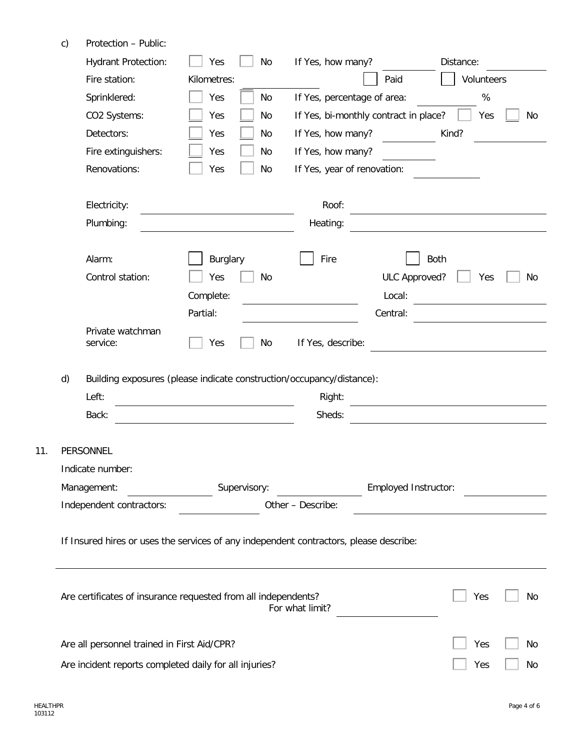|                                                                                        | <b>Hydrant Protection:</b>                  | Yes<br>No                                                             | If Yes, how many?           |                                       | Distance:   |  |
|----------------------------------------------------------------------------------------|---------------------------------------------|-----------------------------------------------------------------------|-----------------------------|---------------------------------------|-------------|--|
|                                                                                        | Fire station:                               | Kilometres:                                                           |                             | Paid                                  | Volunteers  |  |
|                                                                                        | Sprinklered:                                | Yes<br>No                                                             | If Yes, percentage of area: |                                       | %           |  |
|                                                                                        | CO2 Systems:                                | Yes<br>No                                                             |                             | If Yes, bi-monthly contract in place? | Yes<br>No   |  |
|                                                                                        | Detectors:                                  | Yes<br>No                                                             | If Yes, how many?           |                                       | Kind?       |  |
|                                                                                        | Fire extinguishers:                         | Yes<br>No                                                             | If Yes, how many?           |                                       |             |  |
|                                                                                        | Renovations:                                | Yes<br>No                                                             | If Yes, year of renovation: |                                       |             |  |
|                                                                                        | Electricity:                                |                                                                       | Roof:                       |                                       |             |  |
|                                                                                        | Plumbing:                                   |                                                                       | Heating:                    |                                       |             |  |
| Alarm:                                                                                 |                                             | <b>Burglary</b>                                                       | Fire                        |                                       | <b>Both</b> |  |
|                                                                                        | Control station:                            | Yes<br>No                                                             |                             | ULC Approved?                         | Yes<br>No   |  |
|                                                                                        |                                             | Complete:                                                             |                             | Local:                                |             |  |
|                                                                                        |                                             | Partial:                                                              |                             | Central:                              |             |  |
| service:                                                                               | Private watchman                            | Yes<br>No                                                             | If Yes, describe:           |                                       |             |  |
| d)                                                                                     |                                             | Building exposures (please indicate construction/occupancy/distance): |                             |                                       |             |  |
| Left:                                                                                  |                                             |                                                                       | Right:                      |                                       |             |  |
| Back:                                                                                  |                                             |                                                                       | Sheds:                      |                                       |             |  |
|                                                                                        |                                             |                                                                       |                             |                                       |             |  |
| PERSONNEL                                                                              |                                             |                                                                       |                             |                                       |             |  |
| Indicate number:                                                                       |                                             |                                                                       |                             |                                       |             |  |
| Management:                                                                            |                                             | Supervisory:                                                          |                             | Employed Instructor:                  |             |  |
|                                                                                        | Independent contractors:                    |                                                                       | Other - Describe:           |                                       |             |  |
| If Insured hires or uses the services of any independent contractors, please describe: |                                             |                                                                       |                             |                                       |             |  |
|                                                                                        |                                             | Are certificates of insurance requested from all independents?        |                             |                                       | Yes<br>No   |  |
|                                                                                        |                                             |                                                                       | For what limit?             |                                       |             |  |
|                                                                                        | Are all personnel trained in First Aid/CPR? |                                                                       |                             |                                       | Yes<br>No   |  |

 $11.$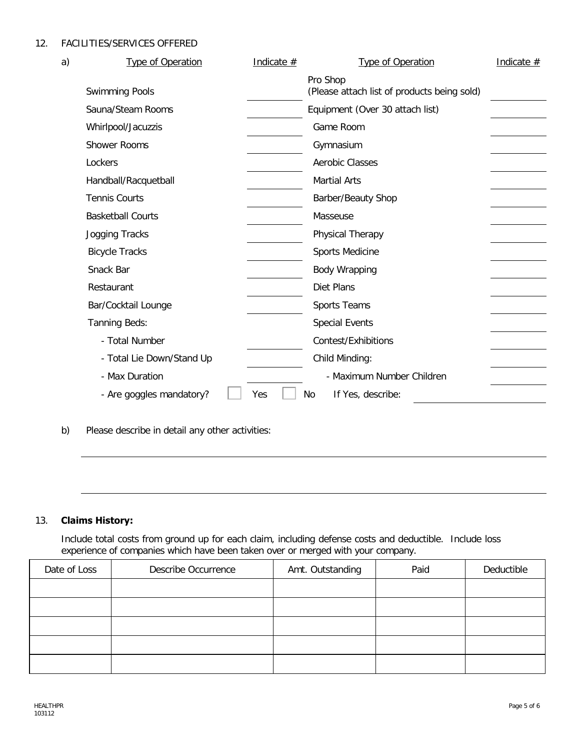12. FACILITIES/SERVICES OFFERED

| a) | <b>Type of Operation</b>  | Indicate $#$ | <b>Type of Operation</b>                                | Indicate $#$ |
|----|---------------------------|--------------|---------------------------------------------------------|--------------|
|    | <b>Swimming Pools</b>     |              | Pro Shop<br>(Please attach list of products being sold) |              |
|    | Sauna/Steam Rooms         |              | Equipment (Over 30 attach list)                         |              |
|    | Whirlpool/Jacuzzis        |              | Game Room                                               |              |
|    | <b>Shower Rooms</b>       |              | Gymnasium                                               |              |
|    | Lockers                   |              | <b>Aerobic Classes</b>                                  |              |
|    | Handball/Racquetball      |              | <b>Martial Arts</b>                                     |              |
|    | <b>Tennis Courts</b>      |              | Barber/Beauty Shop                                      |              |
|    | <b>Basketball Courts</b>  |              | Masseuse                                                |              |
|    | Jogging Tracks            |              | Physical Therapy                                        |              |
|    | <b>Bicycle Tracks</b>     |              | Sports Medicine                                         |              |
|    | Snack Bar                 |              | Body Wrapping                                           |              |
|    | Restaurant                |              | Diet Plans                                              |              |
|    | Bar/Cocktail Lounge       |              | Sports Teams                                            |              |
|    | Tanning Beds:             |              | <b>Special Events</b>                                   |              |
|    | - Total Number            |              | Contest/Exhibitions                                     |              |
|    | - Total Lie Down/Stand Up |              | Child Minding:                                          |              |
|    | - Max Duration            |              | - Maximum Number Children                               |              |
|    | - Are goggles mandatory?  | Yes          | No<br>If Yes, describe:                                 |              |

b) Please describe in detail any other activities:

# 13. **Claims History:**

Include total costs from ground up for each claim, including defense costs and deductible. Include loss experience of companies which have been taken over or merged with your company.

| Date of Loss | <b>Describe Occurrence</b> | Amt. Outstanding | Paid | Deductible |
|--------------|----------------------------|------------------|------|------------|
|              |                            |                  |      |            |
|              |                            |                  |      |            |
|              |                            |                  |      |            |
|              |                            |                  |      |            |
|              |                            |                  |      |            |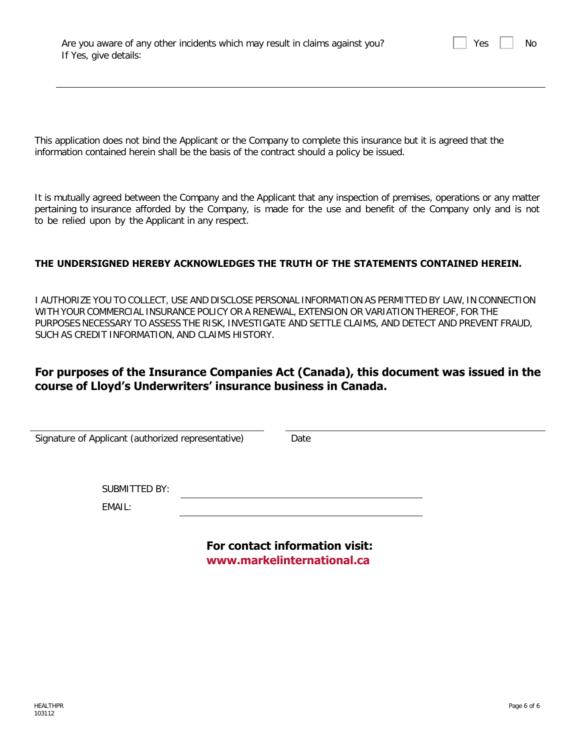| Are you aware of any other incidents which may result in claims against you? |  |  |  |
|------------------------------------------------------------------------------|--|--|--|
| If Yes, give details:                                                        |  |  |  |

 $Yes \mid \mid No$ 

This application does not bind the Applicant or the Company to complete this insurance but it is agreed that the information contained herein shall be the basis of the contract should a policy be issued.

It is mutually agreed between the Company and the Applicant that any inspection of premises, operations or any matter pertaining to insurance afforded by the Company, is made for the use and benefit of the Company only and is not to be relied upon by the Applicant in any respect.

### **THE UNDERSIGNED HEREBY ACKNOWLEDGES THE TRUTH OF THE STATEMENTS CONTAINED HEREIN.**

I AUTHORIZE YOU TO COLLECT, USE AND DISCLOSE PERSONAL INFORMATION AS PERMITTED BY LAW, IN CONNECTION WITH YOUR COMMERCIAL INSURANCE POLICY OR A RENEWAL, EXTENSION OR VARIATION THEREOF, FOR THE PURPOSES NECESSARY TO ASSESS THE RISK, INVESTIGATE AND SETTLE CLAIMS, AND DETECT AND PREVENT FRAUD, SUCH AS CREDIT INFORMATION, AND CLAIMS HISTORY.

# **For purposes of the Insurance Companies Act (Canada), this document was issued in the course of Lloyd's Underwriters' insurance business in Canada.**

| Signature of Applicant (authorized representative) | Date |
|----------------------------------------------------|------|
|                                                    |      |
|                                                    |      |
|                                                    |      |
|                                                    |      |
| <b>SUBMITTED BY:</b>                               |      |
| EMAIL:                                             |      |
|                                                    |      |
|                                                    |      |

**For contact information visit: <www.markelinternational.ca>**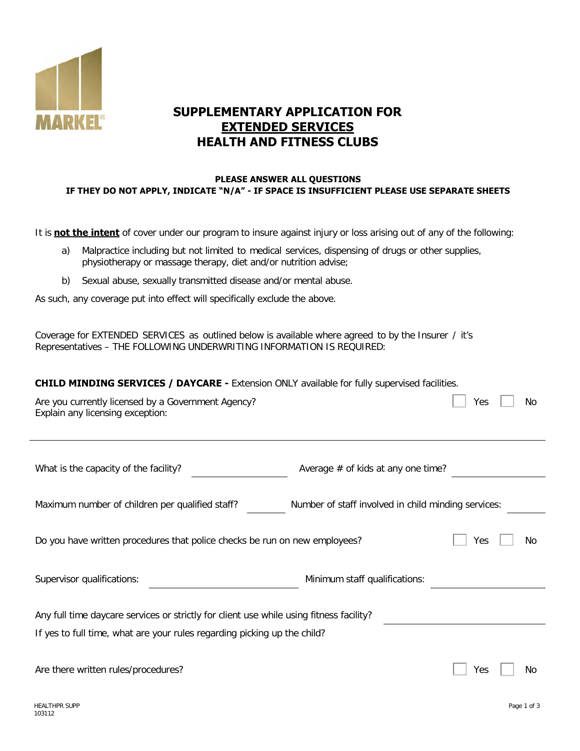

# **SUPPLEMENTARY APPLICATION FOR EXTENDED SERVICES HEALTH AND FITNESS CLUBS**

### **PLEASE ANSWER ALL QUESTIONS IF THEY DO NOT APPLY, INDICATE "N/A" - IF SPACE IS INSUFFICIENT PLEASE USE SEPARATE SHEETS**

It is **not the intent** of cover under our program to insure against injury or loss arising out of any of the following:

- a) Malpractice including but not limited to medical services, dispensing of drugs or other supplies, physiotherapy or massage therapy, diet and/or nutrition advise;
- b) Sexual abuse, sexually transmitted disease and/or mental abuse.

As such, any coverage put into effect will specifically exclude the above.

Coverage for EXTENDED SERVICES as outlined below is available where agreed to by the Insurer / it's Representatives – THE FOLLOWING UNDERWRITING INFORMATION IS REQUIRED:

**CHILD MINDING SERVICES / DAYCARE -** Extension ONLY available for fully supervised facilities.

| Are you currently licensed by a Government Agency?<br>Explain any licensing exception:                                                                              |                                      | Yes |  | No  |  |  |
|---------------------------------------------------------------------------------------------------------------------------------------------------------------------|--------------------------------------|-----|--|-----|--|--|
| What is the capacity of the facility?                                                                                                                               | Average $#$ of kids at any one time? |     |  |     |  |  |
| Maximum number of children per qualified staff?<br>Number of staff involved in child minding services:                                                              |                                      |     |  |     |  |  |
| Do you have written procedures that police checks be run on new employees?                                                                                          |                                      |     |  | No. |  |  |
| Supervisor qualifications:                                                                                                                                          | Minimum staff qualifications:        |     |  |     |  |  |
| Any full time daycare services or strictly for client use while using fitness facility?<br>If yes to full time, what are your rules regarding picking up the child? |                                      |     |  |     |  |  |
| Are there written rules/procedures?                                                                                                                                 |                                      | Yes |  | No  |  |  |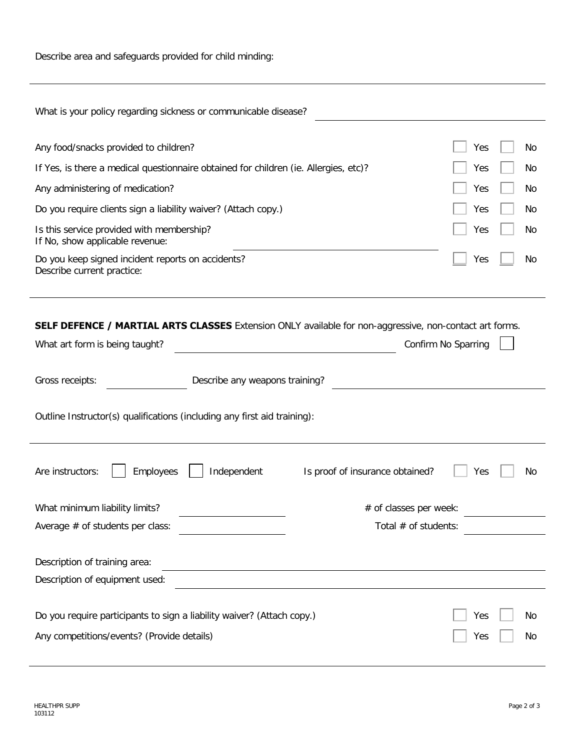Describe area and safeguards provided for child minding:

| What is your policy regarding sickness or communicable disease?                                                |                                 |                     |  |  |  |  |
|----------------------------------------------------------------------------------------------------------------|---------------------------------|---------------------|--|--|--|--|
|                                                                                                                |                                 |                     |  |  |  |  |
| Any food/snacks provided to children?                                                                          |                                 | Yes<br>No           |  |  |  |  |
| If Yes, is there a medical questionnaire obtained for children (ie. Allergies, etc)?                           |                                 | Yes<br>No           |  |  |  |  |
| Any administering of medication?                                                                               |                                 | Yes<br>No           |  |  |  |  |
| Do you require clients sign a liability waiver? (Attach copy.)                                                 |                                 | Yes<br>No           |  |  |  |  |
| Is this service provided with membership?<br>If No, show applicable revenue:                                   |                                 | Yes<br><b>No</b>    |  |  |  |  |
| Do you keep signed incident reports on accidents?<br>Describe current practice:                                |                                 | Yes<br>No           |  |  |  |  |
|                                                                                                                |                                 |                     |  |  |  |  |
|                                                                                                                |                                 |                     |  |  |  |  |
| <b>SELF DEFENCE / MARTIAL ARTS CLASSES</b> Extension ONLY available for non-aggressive, non-contact art forms. |                                 |                     |  |  |  |  |
| What art form is being taught?                                                                                 |                                 | Confirm No Sparring |  |  |  |  |
|                                                                                                                |                                 |                     |  |  |  |  |
| Gross receipts:                                                                                                | Describe any weapons training?  |                     |  |  |  |  |
| Outline Instructor(s) qualifications (including any first aid training):                                       |                                 |                     |  |  |  |  |
| Employees<br>Independent<br>Are instructors:                                                                   | Is proof of insurance obtained? | Yes<br>No           |  |  |  |  |
|                                                                                                                |                                 |                     |  |  |  |  |
| What minimum liability limits?                                                                                 | # of classes per week:          |                     |  |  |  |  |
| Average $#$ of students per class:                                                                             | Total # of students:            |                     |  |  |  |  |
| Description of training area:                                                                                  |                                 |                     |  |  |  |  |
| Description of equipment used:                                                                                 |                                 |                     |  |  |  |  |
|                                                                                                                |                                 |                     |  |  |  |  |
| Do you require participants to sign a liability waiver? (Attach copy.)                                         |                                 | Yes<br>No           |  |  |  |  |
| Any competitions/events? (Provide details)                                                                     |                                 | Yes<br>No           |  |  |  |  |